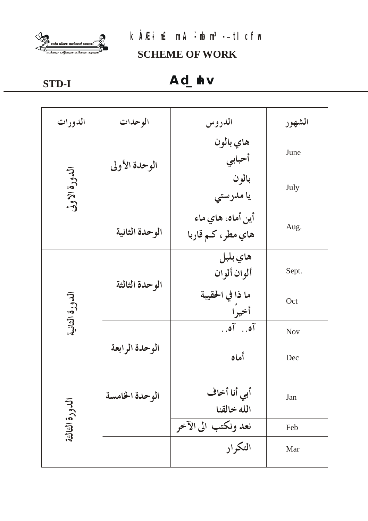

# kÀÆi n£mA: rbn3.- tl cfw

**SCHEME OF WORK** 

STD-I

# Ad\_dv

| الدورات        | الوحدات        | الدروس                                  | الشهور     |
|----------------|----------------|-----------------------------------------|------------|
| الدورة الاولى  | الوحدة الأولى  | هاي بالون<br>أحبابي                     | June       |
|                |                | بالون<br>يا مدرستي                      | July       |
|                | الوحدة الثانية | أين أماه، هاي ماء<br>هاي مطر، كـم قاربا | Aug.       |
| الدورة الثانية | الوحدة الثالثة | هاي بلبل<br>ألوان ألوان                 | Sept.      |
|                |                | ما ذا في الحقيبة<br>أخيرا               | Oct        |
|                | الوحدة الرابعة | $\tilde{a}$ . $\tilde{b}$               | <b>Nov</b> |
|                |                | أماه                                    | Dec        |
| الدورة الثالثة | الوحدة الخامسة | أبي أنا أخاف<br>الله خالقنا             | Jan        |
|                |                | نعد ونكتب الى الآخر                     | Feb        |
|                |                | التكرار                                 | Mar        |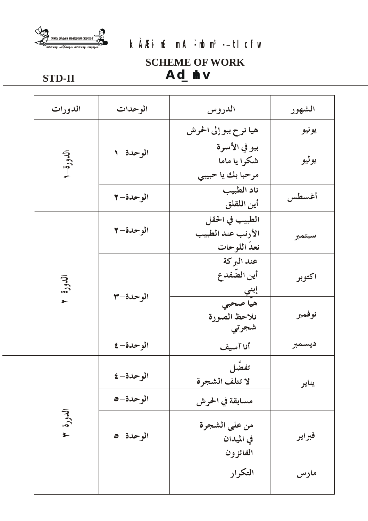

# kÀÆi n£mA`ibn<sup>3</sup>-- ti cfw

# **SCHEME OF WORK** Ad\_dv

## **STD-II**

| الدورات   | الوحدات   | الدروس                               | الشهور |
|-----------|-----------|--------------------------------------|--------|
|           |           | هيا نرح ببو إلى الحرش                | يونيو  |
|           | الوحدة-١  | ببو في الأسرة                        |        |
| الدورة- ا |           | شكرا يا ماما                         | يوليو  |
|           |           | مرحبا بك يا حبيبي                    |        |
|           | الوحدة-٢  | ناد الطبيب                           | أغسطس  |
|           |           | أين اللقلق                           |        |
|           | الوحدة-٢  | الطبيب في الحقل<br>الأرنب عند الطبيب |        |
|           |           | نعد اللوحات                          | سبتمبر |
|           |           | عند البركة                           |        |
|           | الوحدة-٣  | أين الضّفدع                          | اكتوبر |
| الدورق    |           | <u>ابني </u>                         |        |
|           |           | هيّا صحبي                            |        |
|           |           | نلاحظ الصورة<br>شجرتي                | نوفمبر |
|           | الوحدة- ٤ |                                      | ديسمبر |
|           |           | أناآسيف                              |        |
|           | الوحدة-٤  | تفصَّل                               |        |
| الدورة-٣  |           | لا تتلف الشجرة                       | يناير  |
|           | الوحدة-٥  | مسابقة في الحرش                      |        |
|           |           | من على الشجرة                        |        |
|           | الوحدة-٥  | في الميدان                           | فبراير |
|           |           | الفائزون                             |        |
|           |           | التكرار                              | مارس   |
|           |           |                                      |        |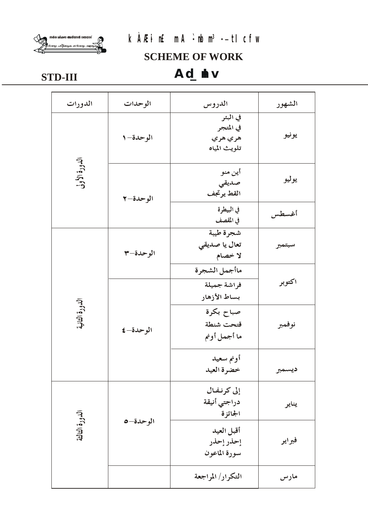



## **SCHEME OF WORK**

# Ad\_dv

# **STD-III**

| الدورات        | الوحدات   | الدروس                                           | الشهور |
|----------------|-----------|--------------------------------------------------|--------|
|                | الوحدة-١  | في البئر<br>في المتجر<br>هري هري<br>تلويث المياه | يونيو  |
| الدورة الأولى  | الوحدة-٢  | أين منو<br>صديقي<br>القط يرتجف                   | يوليو  |
|                |           | في البيطرة<br>في المقصف                          | أغسطس  |
| الدورة الثانية | الوحدة–٣  | شجرة طيبة<br>تعال يا صديقي<br>لا خصام            | سبتمبر |
|                | الوحدة- ٤ | ماأجمل الشجرة<br>فراشة جميلة<br>بساط الأزهار     | اكتوبر |
|                |           | صباح بكرة<br>قتحت شنطة<br>ما أجمل أونم           | نوفمبر |
|                |           | أونم سعيد<br>خضرة العيد                          | ديسمبر |
| الدورة الثالثة |           | إلى كرنفال<br>دراجتي أنيقة<br>الجائزة            | يناير  |
|                | الوحدة-٥  | أقبل العيد<br>إحذر إحذر<br>سورة الماعون          | فبراير |
|                |           | التكرار/ المراجعة                                | مارس   |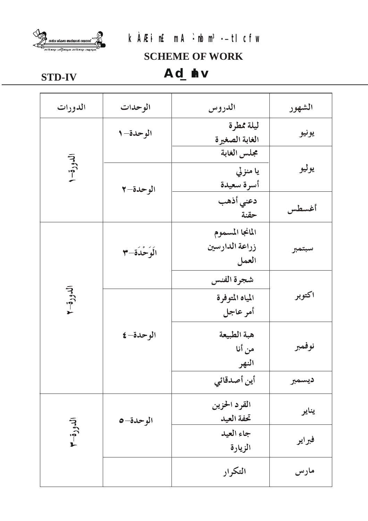

# kÀÆi n£mA: rbn3-- tl cfw

**SCHEME OF WORK** 

## **STD-IV**

Ad\_dv

| الدورات   | الوحدات       | الدروس                | الشهور |
|-----------|---------------|-----------------------|--------|
|           | الوحدة-١      | ليلة ممطرة            |        |
|           |               | الغابة الصغيرة        | يونيو  |
|           |               | مجلس الغابة           |        |
| الدورة- ا |               | يا منزلي              | يوليو  |
|           | الوحدة-٢      | أسرة سعيدة            |        |
|           |               | دعني أذهب             |        |
|           |               | حقنة                  | أغسطس  |
|           |               | المانجا المسموم       |        |
|           | الَوَحْدَةِ-٣ | زراعة الدارسين        | سبتمبر |
|           |               | العمل                 |        |
|           |               | شجرة الفنس            |        |
| الدورة-٢  |               | المياه المتوفرة       | اكتوبر |
|           |               | أمر عاجل              |        |
|           |               |                       |        |
|           | الوحدة- ٤     | هبة الطبيعة<br>من أنا | نوفمبر |
|           |               |                       |        |
|           |               | النهر                 |        |
|           |               | أين أصدقائي           | ديسمبر |
| الدورة-٣  | الوحدة-0      | القرد الحزين          |        |
|           |               | تحفة العيد            | يناير  |
|           |               | جاء العيد             |        |
|           |               | الزيارة               | فبراير |
|           |               |                       |        |
|           |               | التكرار               | مارس   |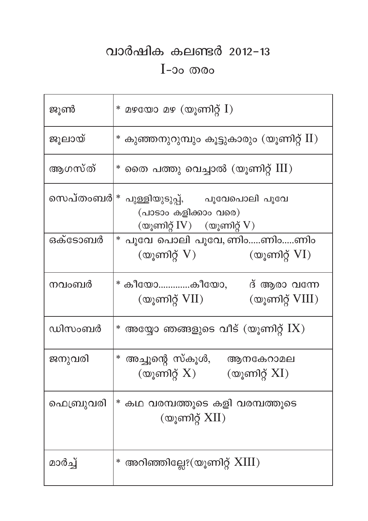# വാർഷിക കലണ്ടർ 2012-13  $I$ -၁၀ $\omega$

| ജൂൺ       | $*$ മഴയോ മഴ (യൂണിറ്റ് $I$ )                                                                               |
|-----------|-----------------------------------------------------------------------------------------------------------|
| ജൂലായ്    | $\rm *}$ കുഞ്ഞനുറുമ്പും കൂട്ടുകാരും (യൂണിറ്റ് $\rm II)$                                                   |
| ആഗസ്ത്    | $^*$ തൈ പത്തു വെച്ചാൽ (യൂണിറ്റ് $\mathrm{III})$                                                           |
| സെപ്തംബര് | * പുള്ളിയുടുപ്പ്,      പൂവേപൊലി പൂവേ<br>(പാടാം കളിക്കാം വരെ)<br>(യൂണിറ്റ് $IV$ ) $\qquad$ (യൂണിറ്റ് $V$ ) |
| ഒക്ടോബർ   | * പൂവേ പൊലി പൂവേ, ണിംണിംണിം<br>(യൂണിറ്റ് VI)<br>$\left(\omega\right)$ ണിറ്റ് $V$ )                        |
| നവംബർ     | * കീയോകീയോ,       ദ് ആരാ വന്നേ<br>$\infty$ ുണിറ്റ് $\rm VIII)$<br>(യൂണിറ്റ് $VII$ )                       |
| ഡിസംബർ    | $^*$ അയ്യോ ഞങ്ങളുടെ വീട് (യൂണിറ്റ് $\mathrm{I} \mathrm{X}$ )                                              |
| ജനുവരി    | * അച്ചൂന്റെ സ്കൂൾ, ആനകേറാമല<br>(യൂണിറ്റ് $X$ ) (യൂണിറ്റ് $XI$ )                                           |
| ഫെബ്രുവരി | * കഥ വരമ്പത്തൂടെ കളി വരമ്പത്തൂടെ<br>(യൂണിറ്റ് $XII$ )                                                     |
| മാർച്ച്   | $^*$ അറിഞ്ഞില്ലേ? $(\mathbb{Q} _{\check{g}}$ ണിറ്റ് $\boldsymbol{\mathrm{XIII}})$                         |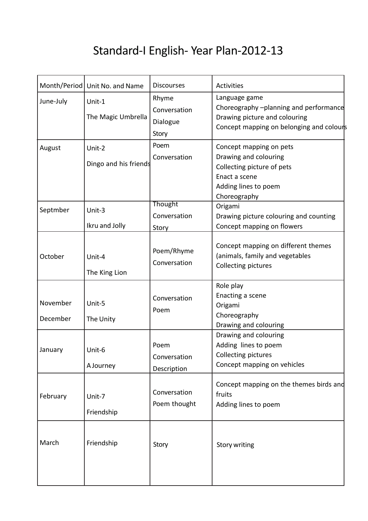# Standard-I English- Year Plan-2012-13

|                      | Month/Period Unit No. and Name  | <b>Discourses</b>                          | Activities                                                                                                                              |
|----------------------|---------------------------------|--------------------------------------------|-----------------------------------------------------------------------------------------------------------------------------------------|
| June-July            | Unit-1<br>The Magic Umbrella    | Rhyme<br>Conversation<br>Dialogue<br>Story | Language game<br>Choreography -planning and performance<br>Drawing picture and colouring<br>Concept mapping on belonging and colours    |
| August               | Unit-2<br>Dingo and his friends | Poem<br>Conversation                       | Concept mapping on pets<br>Drawing and colouring<br>Collecting picture of pets<br>Enact a scene<br>Adding lines to poem<br>Choreography |
| Septmber             | Unit-3<br>Ikru and Jolly        | <b>Thought</b><br>Conversation<br>Story    | Origami<br>Drawing picture colouring and counting<br>Concept mapping on flowers                                                         |
| October              | Unit-4<br>The King Lion         | Poem/Rhyme<br>Conversation                 | Concept mapping on different themes<br>(animals, family and vegetables<br>Collecting pictures                                           |
| November<br>December | Unit-5<br>The Unity             | Conversation<br>Poem                       | Role play<br>Enacting a scene<br>Origami<br>Choreography<br>Drawing and colouring                                                       |
| January              | Unit-6<br>A Journey             | Poem<br>Conversation<br>Description        | Drawing and colouring<br>Adding lines to poem<br>Collecting pictures<br>Concept mapping on vehicles                                     |
| February             | Unit-7<br>Friendship            | Conversation<br>Poem thought               | Concept mapping on the themes birds and<br>fruits<br>Adding lines to poem                                                               |
| March                | Friendship                      | Story                                      | <b>Story writing</b>                                                                                                                    |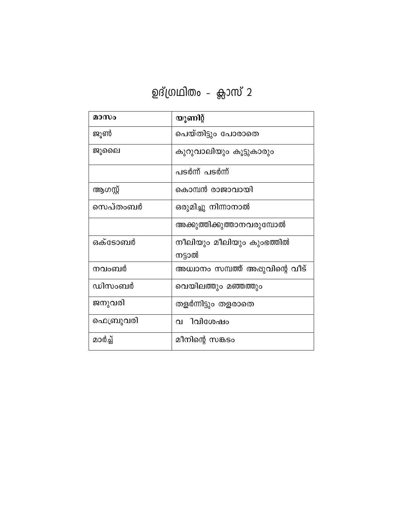| മാസം      | യൂണിറ്റ്                            |
|-----------|-------------------------------------|
| ജൂൺ       | പെയ്തിട്ടും പോരാതെ                  |
| ജൂലൈ      | കുറുവാലിയും കൂട്ടുകാരും             |
|           | പടർന്ന് പടർന്ന്                     |
| ആഗസ്റ്റ്  | കൊമ്പൻ രാജാവായി                     |
| സെപ്തംബർ  | ഒരുമിച്ചു നിന്നാനാൽ                 |
|           | അക്കുത്തിക്കുത്താനവരുമ്പോൽ          |
| ഒക്ടോബർ   | നീലിയും മീലിയും കുംഭത്തിൽ<br>നട്ടാൽ |
| നവംബർ     | അധ്വാനം സമ്പത്ത് അഷുവിന്റെ വീട്     |
| ഡിസംബർ    | വെയിലത്തും മഞ്ഞത്തും                |
| ജനുവരി    | തളർന്നിട്ടും തളരാതെ                 |
| ഫെബ്രുവരി | വ ിവിശേഷം                           |
| മാർച്ച്   | മീനിന്റെ സങ്കടം                     |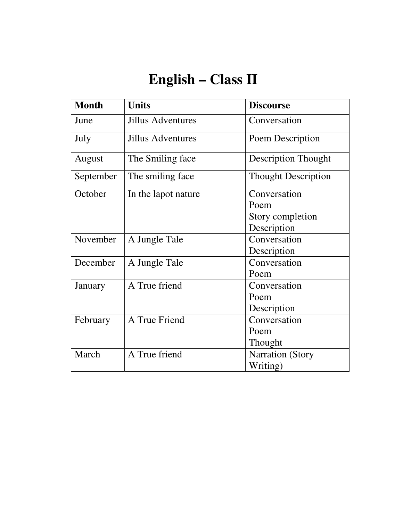# **English – Class II**

| <b>Month</b> | <b>Units</b>             | <b>Discourse</b>           |
|--------------|--------------------------|----------------------------|
| June         | <b>Jillus Adventures</b> | Conversation               |
| July         | <b>Jillus Adventures</b> | Poem Description           |
| August       | The Smiling face         | <b>Description Thought</b> |
| September    | The smiling face         | <b>Thought Description</b> |
| October      | In the lapot nature      | Conversation               |
|              |                          | Poem                       |
|              |                          | Story completion           |
|              |                          | Description                |
| November     | A Jungle Tale            | Conversation               |
|              |                          | Description                |
| December     | A Jungle Tale            | Conversation               |
|              |                          | Poem                       |
| January      | A True friend            | Conversation               |
|              |                          | Poem                       |
|              |                          | Description                |
| February     | A True Friend            | Conversation               |
|              |                          | Poem                       |
|              |                          | Thought                    |
| March        | A True friend            | <b>Narration</b> (Story    |
|              |                          | Writing)                   |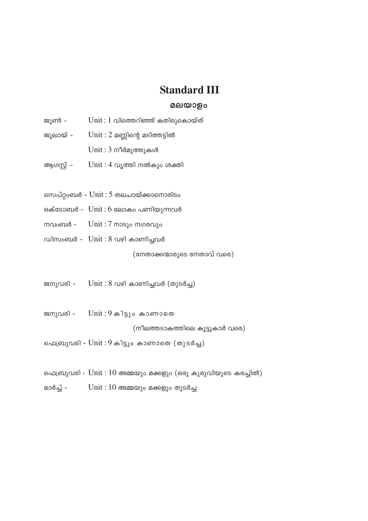### **Standard III**

#### മലയാളം

- $Unit: 1$  വിത്തെറിഞ്ഞ് കതിരുകൊയ്ത് ജൂൺ -
- $Unit: 2$  മണ്ണിന്റെ മടിത്തട്ടിൽ ജൂലായ് -
	- $Unit: 3$  നീർമുത്തുകൾ
- ആഗസ്റ്റ്  $Unit: 4$  വൃത്തി നൽകും ശക്തി
- സെപ്റ്റംബർ  $Unit: 5$  തലചായ്ക്കാനൊരിടം
- ഒക്ടോബർ Unit : 6 ലോകം പണിയുന്നവർ
- നവംബർ  $Unit: 7$  നാടും നഗരവും
- ഡിസംബർ  $Unit: 8$  വഴി കാണിച്ചവർ

(നേതാക്കന്മാരുടെ നേതാവ് വരെ)

- $Unit: 8$  വഴി കാണിച്ചവർ (തുടർച്ച) ജനുവരി -
- ജനുവരി - $Unit: 9 \omega_1$ ട്ടും കാണാതെ

(നീലത്തടാകത്തിലെ കൂട്ടുകാർ വരെ)

ഫെബ്രുവരി - Unit : 9 കിട്ടും കാണാതെ (തുടർച്ച)

- ഫെബ്രുവരി Unit : 10 അമ്മയും മക്കളും (ഒരു കുരുവിയുടെ കരച്ചിൽ)
- മാർച്ച്  $Unit: 10$  അമ്മയും മക്കളും തുടർച്ച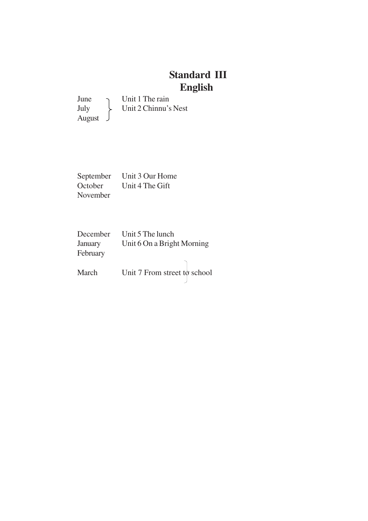### **Standard III English**

June Unit 1 The rain<br>July Unit 2 Chinnu's Unit 2 Chinnu's Nest August

September Unit 3 Our Home<br>October Unit 4 The Gift Unit 4 The Gift November

December Unit 5 The lunch January Unit 6 On a Bright Morning February March Unit 7 From street to school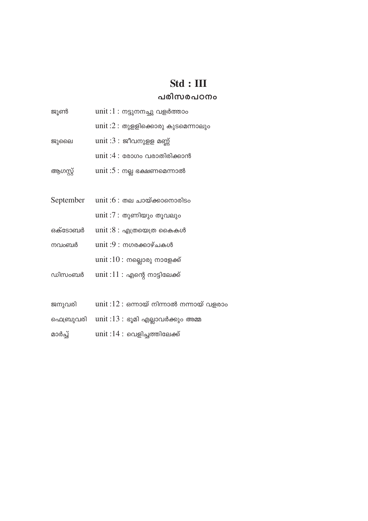# $Std : III$

#### പരിസരപഠനം

| ജൂൺ       | unit : $1:$ നട്ടുനനച്ചു വളർത്താം          |
|-----------|-------------------------------------------|
|           | unit: $2:$ തുളളിക്കൊരു കുടമെന്നാലും       |
| ജുലൈ      | unit : $3:$ ജീവനുളള മണ്ണ്                 |
|           | unit : $4$ : രോഗം വരാതിരിക്കാൻ            |
| ആഗസ്റ്റ്  | unit: $5:$ നല്ല ഭക്ഷണമെന്നാൽ              |
|           |                                           |
| September | unit : $6:$ തല ചായ്ക്കാനൊരിടം             |
|           | unit :7 : തുണിയും തൂവലും                  |
| ഒക്ടോബർ   | unit : $8:$ എത്രയെത്ര കൈകൾ                |
| നവംബർ     | $unit:9: \text{m}$ ഗരക്കാഴ്ചകൾ            |
|           | unit : $10:$ നല്ലൊരു നാളേക്ക്             |
| ഡിസംബർ    | unit : $11:$ എന്റെ നാട്ടിലേക്ക്           |
|           |                                           |
| ജനുവരി    | unit: $12:$ ഒന്നായ് നിന്നാൽ നന്നായ് വളരാം |
| ഫെബ്രുവരി | unit : $13:$ ഭൂമി എല്ലാവർക്കും അമ്മ       |
| മാർച്ച്   | unit :14 : വെളിച്ചത്തിലേക്ക്              |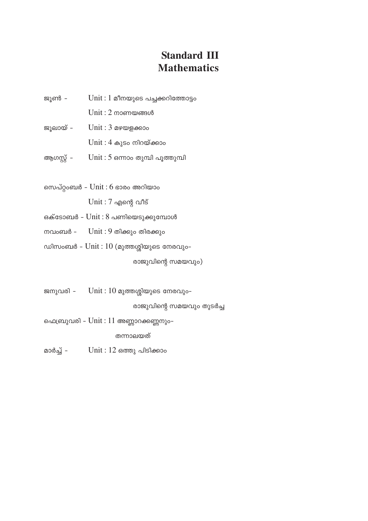### **Standard III Mathematics**

- ജൂൺ - $Unit: 1$  മീനയുടെ പച്ചക്കറിത്തോട്ടം
	- $Unit: 2 monomans$
- ജൂലായ്  $Unit: 3$  മഴയളക്കാം
	- $Unit: 4 \omega$ ുടം നിറയ്ക്കാം
- ആഗസ്റ്റ്  $Unit: 5$  ഒന്നാം തുമ്പി പൂത്തുമ്പി
- സെപ്റ്റംബർ  $Unit: 6$  ഭാരം അറിയാം  $Unit: 7$  എന്റെ വീട്
- ഒക്ടോബർ Unit : 8 പണിയെടുക്കുമ്പോൾ
- $Unit: 9$  തിക്കും തിരക്കും നവംബർ –
- ഡിസംബർ  $Unit: 10$  (മുത്തശ്ശിയുടെ നേരവും–

രാജുവിന്റെ സമയവും)

 $Unit: 10$  മുത്തശ്ശിയുടെ നേരവും-ജനുവരി -

രാജുവിന്റെ സമയവും തുടർച്ച

ഫെബ്രുവരി - Unit : 11 അണ്ണാറക്കണ്ണനും-

തന്നാലയത്

മാർച്ച് –  $Unit: 12$  ഒത്തു പിടിക്കാം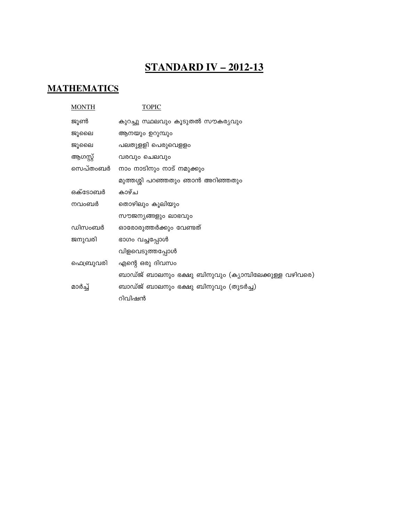## **STANDARD IV - 2012-13**

#### **MATHEMATICS**

| <b>MONTH</b> | <b>TOPIC</b>                                          |
|--------------|-------------------------------------------------------|
| ജൂൺ          | കുറച്ചു സ്ഥലവും കൂടുതൽ സൗകര്യവും                      |
| ജൂലൈ         | ആനയും ഉറുമ്പും                                        |
| ജൂലൈ         | പലതുളളി പെരുവെളളം                                     |
| ആഗസ്റ്റ്     | വരവും ചെലവും                                          |
| സെപ്തംബർ     | നാം നാടിനും നാട് നമുക്കും                             |
|              | മുത്തശ്ശി പറഞ്ഞതും ഞാൻ അറിഞ്ഞതും                      |
| ഒക്ടോബർ      | കാഴ്ച                                                 |
| നവംബർ        | തൊഴിലും കൂലിയും                                       |
|              | സൗജന്യങ്ങളും ലാഭവും                                   |
| ഡിസംബർ       | ഓരോരുത്തർക്കും വേണ്ടത്                                |
| ജനുവരി       | ഭാഗം വച്ചപ്പോൾ                                        |
|              | വിളവെടുത്തപ്പോൾ                                       |
| ഫെബ്രുവരി    | എന്റെ ഒരു ദിവസം                                       |
|              | ബാഡ്ജ് ബാലനും ഭക്ഷു ബിനുവും (കൃാമ്പിലേക്കുള്ള വഴിവരെ) |
| മാർച്ച്      | ബാഡ്ജ് ബാലനും ഭക്ഷു ബിനുവും (തുടർച്ച)                 |
|              | റിവിഷൻ                                                |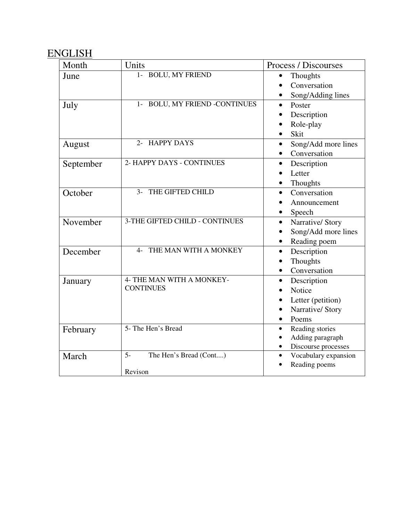### ENGLISH

| Month     | Units                                 | Process / Discourses              |
|-----------|---------------------------------------|-----------------------------------|
| June      | 1- BOLU, MY FRIEND                    | Thoughts                          |
|           |                                       | Conversation                      |
|           |                                       | Song/Adding lines                 |
| July      | 1- BOLU, MY FRIEND -CONTINUES         | Poster<br>$\bullet$               |
|           |                                       | Description                       |
|           |                                       | Role-play                         |
|           |                                       | Skit                              |
| August    | 2- HAPPY DAYS                         | Song/Add more lines<br>$\bullet$  |
|           |                                       | Conversation<br>$\bullet$         |
| September | 2- HAPPY DAYS - CONTINUES             | Description<br>$\bullet$          |
|           |                                       | Letter                            |
|           |                                       | Thoughts                          |
| October   | 3- THE GIFTED CHILD                   | Conversation<br>$\bullet$         |
|           |                                       | Announcement                      |
|           |                                       | Speech                            |
| November  | 3-THE GIFTED CHILD - CONTINUES        | Narrative/Story<br>$\bullet$      |
|           |                                       | Song/Add more lines               |
|           |                                       | Reading poem                      |
| December  | THE MAN WITH A MONKEY<br>$\mathbf{4}$ | Description<br>$\bullet$          |
|           |                                       | Thoughts<br>$\bullet$             |
|           |                                       | Conversation<br>$\bullet$         |
| January   | 4- THE MAN WITH A MONKEY-             | Description<br>$\bullet$          |
|           | <b>CONTINUES</b>                      | Notice                            |
|           |                                       | Letter (petition)                 |
|           |                                       | Narrative/ Story                  |
|           |                                       | Poems<br>$\bullet$                |
| February  | 5- The Hen's Bread                    | Reading stories<br>$\bullet$      |
|           |                                       | Adding paragraph<br>$\bullet$     |
|           |                                       | Discourse processes               |
| March     | $5-$<br>The Hen's Bread (Cont)        | Vocabulary expansion<br>$\bullet$ |
|           | Revison                               | Reading poems                     |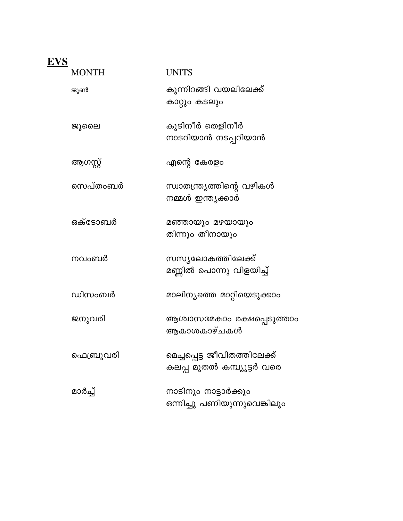| EVS |              |                                                            |
|-----|--------------|------------------------------------------------------------|
|     | <b>MONTH</b> | UNITS                                                      |
|     | ജൂൺ          | കുന്നിറങ്ങി വയലിലേക്ക്<br>കാറ്റും കടലും                    |
|     | ജൂലൈ         | കുടിനീർ തെളിനീർ<br>നാടറിയാൻ നടപ്പറിയാൻ                     |
|     | ആഗസ്റ്റ്     | എന്റെ കേരളം                                                |
|     | സെപ്തംബർ     | സ്വാതന്ത്ര്യത്തിന്റെ വഴികൾ<br>നമ്മൾ ഇന്ത്യക്കാർ            |
|     | ഒക്ടോബർ      | മഞ്ഞായും മഴയായും<br>തിന്നും തീനായും                        |
|     | നവംബർ        | സസ്യലോകത്തിലേക്ക്<br>മണ്ണിൽ പൊന്നു വിളയിച്ച്               |
|     | ഡിസംബർ       | മാലിന്യത്തെ മാറ്റിയെടുക്കാം                                |
|     | ജനുവരി       | ആശ്വാസമേകാം രക്ഷപ്പെടുത്താം<br>ആകാശകാഴ്ചകൾ                 |
|     | ഫെബ്രുവരി    | മെച്ചപ്പെട്ട ജീവിതത്തിലേക്ക്<br>കലപ്പ മുതൽ കമ്പ്യൂട്ടർ വരെ |
|     | മാർച്ച്      | നാടിനും നാട്ടാർക്കും<br>ഒന്നിച്ചു പണിയുന്നുവെങ്കിലും       |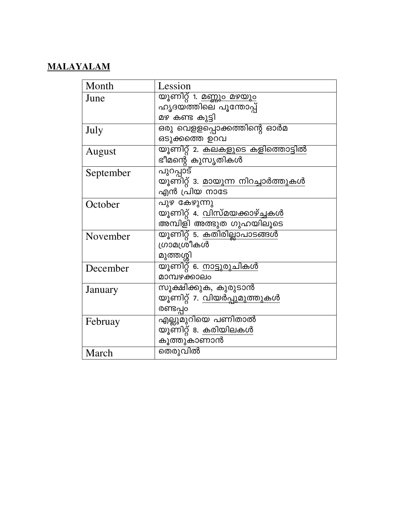#### **MALAYALAM**

| Month     | Lession                                   |
|-----------|-------------------------------------------|
| June      | <u>യൂണിറ്റ് 1. മണ്ണും മഴയും</u>           |
|           | ഹൃദയത്തിലെ പൂന്തോപ്പ്                     |
|           | മഴ കണ്ട കുട്ടി                            |
| July      | ഒരു വെളളപ്പൊക്കത്തിന്റെ ഓർമ               |
|           | ഒടുക്കത്തെ ഉറവ                            |
| August    | <u>യൂണിറ്റ് 2. കലകളുടെ കളിത്തൊട്ടിൽ</u>   |
|           | ഭീമന്റെ കുസൃതികൾ                          |
| September | <u>പുറപ്പാട്</u>                          |
|           | യൂണിറ്റ് 3. <u>മായുന്ന നിറച്ചാർത്തുകൾ</u> |
|           | എൻ പ്രിയ നാടേ                             |
| October   | പുഴ കേഴുന്നു                              |
|           | യൂണിറ്റ് 4. <u>വിസ്മയക്കാഴ്ച്ചകൾ</u>      |
|           | അമ്പിളി അത്ഭുത ഗുഹയിലൂടെ                  |
| November  | യൂണിറ്റ് 5. കതിരില്ലാപാടങ്ങൾ              |
|           | ൸മശ്രീകൾ                                  |
|           | മുത്തശ്ശി                                 |
| December  | യൂണിറ്റ് 6. നാട്ടുരുചികൾ                  |
|           | മാമ്പഴക്കാലം                              |
| January   | സൂക്ഷിക്കുക, കുരുടാൻ                      |
|           | യൂണിറ്റ് 7. <u>വിയർപ്പുമുത്തുകൾ</u>       |
|           | രണ്ടപ്പറ                                  |
| Februay   | എല്ലുമുറിയെ പണിതാൽ                        |
|           | യൂണിറ്റ് 8. <u>കരിയിലകൾ</u>               |
|           | കൂത്തുകാണാൻ                               |
| March     | തെരുവിൽ                                   |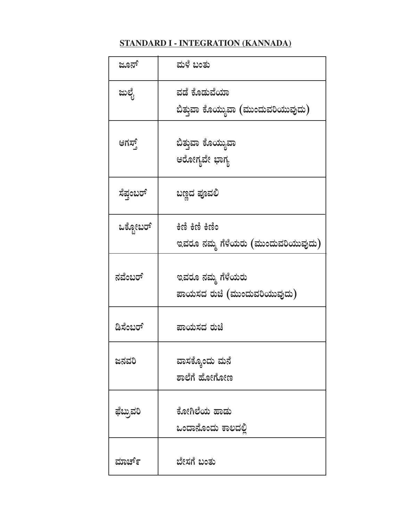#### **STANDARD I - INTEGRATION (KANNADA)**

| ಜೂನ್      | ಮಳೆ ಬಂತು                                           |
|-----------|----------------------------------------------------|
| ಜುಲೈ      | ವಡೆ ಕೊಡುವೆಯಾ<br>ಬಿತ್ತುವಾ ಕೊಯ್ಯುವಾ (ಮುಂದುವರಿಯುವುದು) |
| ಆಗಸ್ಥ್    | ಬಿತ್ತುವಾ ಕೊಯ್ಯುವಾ<br>ಆರೋಗ್ಯವೇ ಭಾಗ್ಯ                |
| ಸೆಪ್ರಂಬರ್ | ಬಣ್ಣದ ಪೂವಲಿ                                        |
| ಒಕ್ಟೋಬರ್  | ಇವರೂ ನಮ್ಮ ಗೆಳೆಯರು (ಮುಂದುವರಿಯುವುದು)                 |
| ನವೆಂಬರ್   | ಇವರೂ ನಮ್ಮ ಗೆಳೆಯರು<br>ಪಾಯಸದ ರುಚಿ (ಮುಂದುವರಿಯುವುದು)   |
| ಡಿಸೆಂಬರ್  | ಪಾಯಸದ ರುಚಿ                                         |
| ಜನವರಿ     | ವಾಸಕ್ಕೊಂದು ಮನೆ<br>ಶಾಲೆಗೆ ಹೋಗೋಣ                     |
| ಫೆಬ್ರುವರಿ | ಕೋಗಿಲೆಯ ಹಾಡು<br>ಒಂದಾನೊಂದು ಕಾಲದಲ್ಲಿ                 |
| ಮಾರ್ಚ್    | ಬೇಸಗೆ ಬಂತು                                         |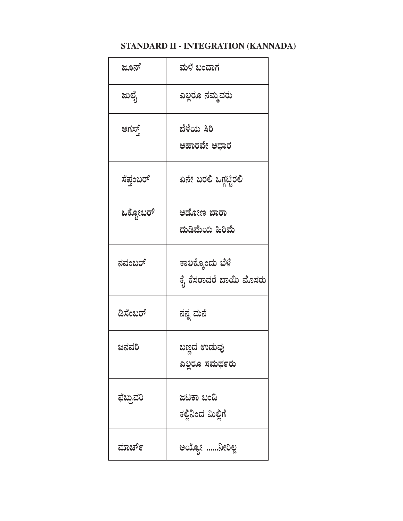#### **STANDARD II - INTEGRATION (KANNADA)**

| ಜೂನ್      | ಮಳೆ ಬಂದಾಗ                                 |
|-----------|-------------------------------------------|
| ಜುಲೈ      | ಎಲ್ಲರೂ ನಮ್ಮವರು                            |
| ಆಗಸ್ತ್    | ಬೆಳೆಯ ಸಿರಿ<br>ಆಹಾರವೇ ಆಧಾರ                 |
| ಸೆಪ್ರಂಬರ್ | ಏನೇ ಬರಲಿ ಒಗ್ಗಟ್ಟಿರಲಿ                      |
| ಒಕ್ಟೋಬರ್  | ಆಡೋಣ ಬಾರಾ<br>ದುಡಿಮೆಯ ಹಿರಿಮೆ               |
| ನವಂಬರ್    | ಕಾಲಕ್ಕೊಂದು ಬೆಳೆ<br>ಕೈ ಕೆಸರಾದರೆ ಬಾಯಿ ಮೊಸರು |
| ಡಿಸೆಂಬರ್  | ನನ್ನ ಮನೆ                                  |
| ಜನವರಿ     | ಬಣ್ಣದ ಉಡುವು<br>ಎಲ್ಲರೂ ಸಮರ್ಥರು             |
| ಫೆಬ್ರುವರಿ | ಜಟಕಾ ಬಂಡಿ<br>ಕಲ್ಲಿನಿಂದ ಮಿಲ್ಲಿಗೆ           |
| ಮಾರ್ಚ್    | ಇಯ್ಯೋ ನೀರಿಲ್ಲ                             |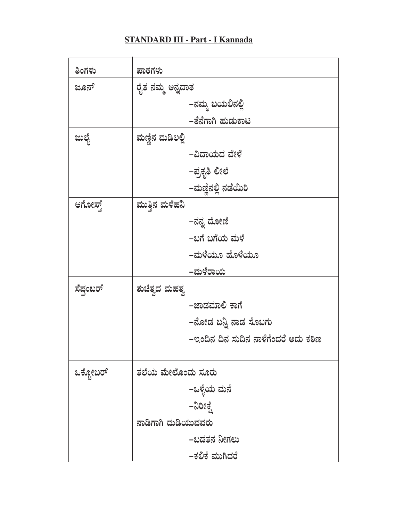#### **STANDARD III - Part - I Kannada**

ä,

| ತಿಂಗಳು    | ಪಾಠಗಳು                               |
|-----------|--------------------------------------|
| ಜೂನ್      | ರೈತ ನಮ್ಮ ಅನ್ನದಾತ                     |
|           | –ನಮ್ಮ ಬಯಲಿನಲ್ಲಿ                      |
|           | –ತೆನೆಗಾಗಿ ಹುಡುಕಾಟ                    |
| ಜುಲೈ      | ಮಣ್ಣಿನ ಮಡಿಲಲ್ಲಿ                      |
|           | –ವಿದಾಯದ ವೇಳೆ                         |
|           | –ಪ್ರಕೃತಿ ಲೀಲೆ                        |
|           | –ಮಣ್ಣಿನಲ್ಲಿ ನಡೆಯಿರಿ                  |
| ಆಗೋಸ್ಟ್   | ಮುತ್ತಿನ ಮಳೆಹನಿ                       |
|           | –ನನ್ನ ದೋಣಿ                           |
|           | –ಬಗೆ ಬಗೆಯ ಮಳೆ                        |
|           | –ಮಳೆಯೂ ಹೊಳೆಯೂ                        |
|           | –ಮಳೆರಾಯ                              |
| ಸೆಪ್ರಂಬರ್ | ಶುಚಿತ್ವದ ಮಹತ್ವ                       |
|           | –ಜಾಡಮಾಲಿ ಕಾಗೆ                        |
|           | –ನೋಡ ಬನ್ನಿ ನಾಡ ಸೊಬಗು                 |
|           | –ಇಂದಿನ ದಿನ ಸುದಿನ ನಾಳೆಗೆಂದರೆ ಅದು ಕಠಿಣ |
|           |                                      |
| ಒಕ್ಟೋಬರ್  | ತಲೆಯ ಮೇಲೊಂದು ಸೂರು                    |
|           | –ಒಳ್ಳೆಯ ಮನೆ                          |
|           | –ನಿರೀಕ್ಷೆ                            |
|           | ನಾಡಿಗಾಗಿ ದುಡಿಯುವವರು                  |
|           | –ಬಡತನ ನೀಗಲು                          |
|           | –ಕಲಿಕೆ ಮುಗಿದರೆ                       |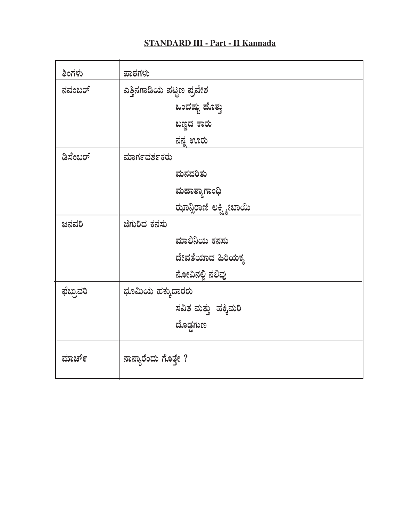#### **STANDARD III - Part - II Kannada**

| ತಿಂಗಳು    | ಪಾಠಗಳು                   |
|-----------|--------------------------|
| ನವಂಬರ್    | ಎತ್ತಿನಗಾಡಿಯ ಪಟ್ಟಣ ಪ್ರವೇಶ |
|           | ಒಂದಷ್ಟು ಹೊತ್ತು           |
|           | ಬಣ್ಣದ ಕಾರು               |
|           | ನನ್ನ ಊರು                 |
| ಡಿಸೆಂಬರ್  | ಮಾರ್ಗದರ್ಶಕರು             |
|           | ಮನವರಿತು                  |
|           | ಮಹಾತ್ನಾಗಾಂಧಿ             |
|           | ಝಾನ್ಸಿರಾಣಿ ಲಕ್ಷ್ಮೀಬಾಯಿ   |
| ಜನವರಿ     | ಚೆಗುರಿದ ಕನಸು             |
|           | ಮಾಲಿನಿಯ ಕನಸು             |
|           | ದೇವತೆಯಾದ ಹಿರಿಯಕ್ಕ        |
|           | ನೋವಿನಲ್ಲಿ ನಲಿವು          |
| ಫೆಬ್ರುವರಿ | ಭೂಮಿಯ ಹಕ್ಕುದಾರರು         |
|           | ಸವಿತ ಮತ್ತು ಹಕ್ಕಿಮರಿ      |
|           | ದೊಡ್ಡಗುಣ                 |
| ಮಾರ್ಚ್    | ನಾನ್ಯಾರೆಂದು ಗೊತ್ತೇ ?     |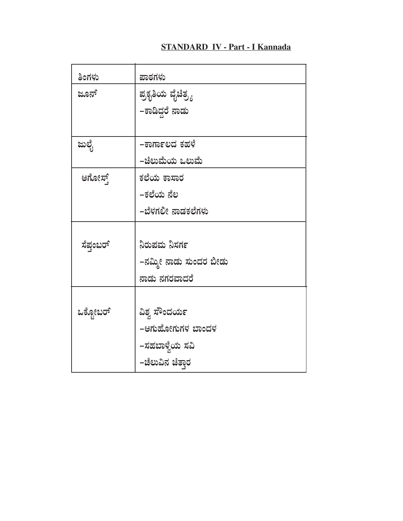#### **STANDARD IV - Part - I Kannada**

| ತಿಂಗಳು    | ಪಾಠಗಳು                 |
|-----------|------------------------|
| ಜೂನ್      | ಪ್ರಕೃತಿಯ ವೈಚಿತ್ರ್ಯ     |
|           | –ಕಾಡಿದ್ದರೆ ನಾಡು        |
|           |                        |
| ಜುಲೈ      | -ಕಾರ್ಗಾಲದ ಕಹಳೆ         |
|           | –ಚಿಲುಮೆಯ ಒಲುಮೆ         |
| ಆಗೋಸ್ಟ್   | ಕಲೆಯ ಕಾಸಾರ             |
|           | –ಕಲೆಯ ನೆಲ              |
|           | –ಬೆಳಗಲೀ ನಾಡಕಲೆಗಳು      |
|           |                        |
| ಸೆಪ್ರಂಬರ್ | ನಿರುಪಮ ನಿಸರ್ಗ          |
|           | –ನಮ್ಮೀ ನಾಡು ಸುಂದರ ಬೀಡು |
|           | ನಾಡು ನಗರವಾದರೆ          |
|           |                        |
| ಒಕ್ಟೋಬರ್  | ವಿಶ್ವ ಸೌಂದರ್ಯ          |
|           | -ಆಗುಹೋಗುಗಳ ಬಾಂದಳ       |
|           | –ಸಹಬಾಳ್ವೆಯ ಸವಿ         |
|           | –ಚೆಲುವಿನ ಚಿತ್ತಾರ       |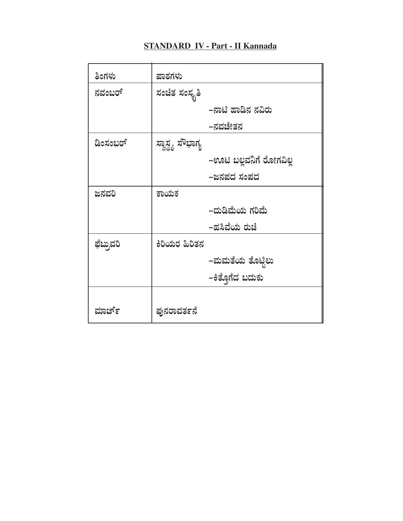#### **STANDARD IV - Part - II Kannada**

| ತಿಂಗಳು    | ಪಾಠಗಳು            |                        |
|-----------|-------------------|------------------------|
| ನವಂಬರ್    | ಸಂಚಿತ ಸಂಸ್ಥೃತಿ    |                        |
|           |                   | –ನಾಟಿ ಹಾಡಿನ ನವಿರು      |
|           |                   | –ನವಚೇತನ                |
| ಡಿಂಸಂಬರ್  | ಸ್ವಾಸ್ಥ್ಯ ಸೌಭಾಗ್ಯ |                        |
|           |                   | –ಊಟ ಬಲ್ಲವನಿಗೆ ರೋಗವಿಲ್ಲ |
|           |                   | –ಜನಪದ ಸಂಪದ             |
| ಜನವರಿ     | ಕಾಯಕ              |                        |
|           |                   | –ದುಡಿಮೆಯ ಗರಿಮೆ         |
|           |                   | –ಹಸಿವೆಯ ರುಚೆ           |
| ಫೆಬ್ರುವರಿ | ಕಿರಿಯರ ಹಿರಿತನ     |                        |
|           |                   | –ಮಮತೆಯ ತೊಟ್ಟಿಲು        |
|           |                   | –ಕಿತೊಗೆದ ಬದುಕು         |
|           |                   |                        |
| ಮಾರ್ಚ್    | ಪುನರಾವರ್ತನೆ       |                        |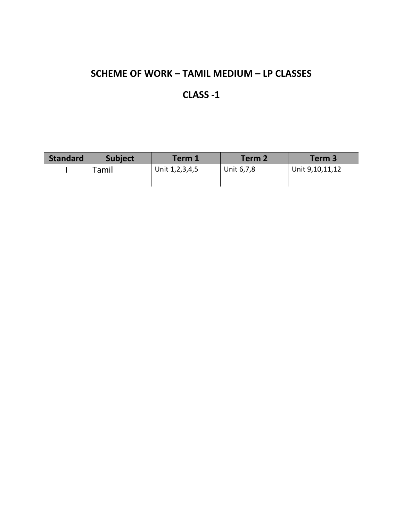#### CLASS -1

| <b>Standard</b> | <b>Subject</b> | <b>Term 1</b>      | Term 2     | Term 3          |
|-----------------|----------------|--------------------|------------|-----------------|
|                 | Tamil          | Unit 1, 2, 3, 4, 5 | Unit 6,7,8 | Unit 9,10,11,12 |
|                 |                |                    |            |                 |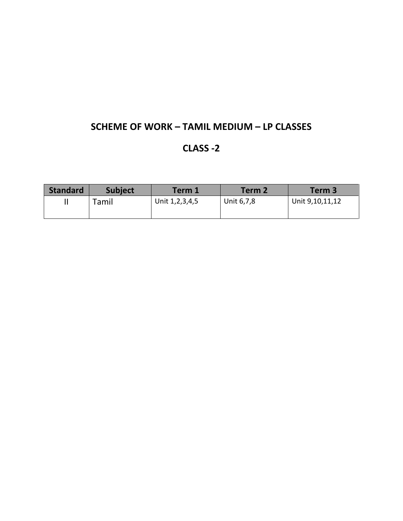#### CLASS -2

| <b>Standard</b> | <b>Subject</b> | Term 1             | Term 2     | Term 3          |
|-----------------|----------------|--------------------|------------|-----------------|
|                 | Tamil          | Unit 1, 2, 3, 4, 5 | Unit 6,7,8 | Unit 9,10,11,12 |
|                 |                |                    |            |                 |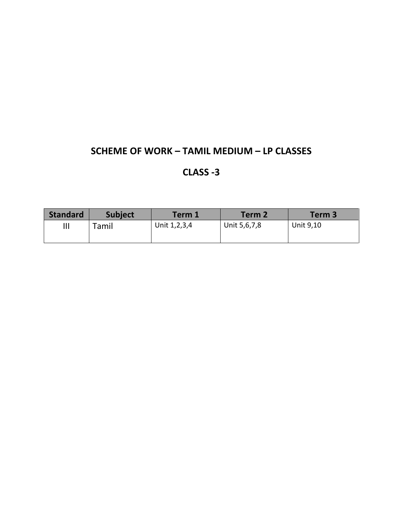#### CLASS -3

| <b>Standard</b> | <b>Subject</b> | <b>Term 1</b> | Term 2       | Term 3    |
|-----------------|----------------|---------------|--------------|-----------|
| Ш               | Tamil          | Unit 1,2,3,4  | Unit 5,6,7,8 | Unit 9,10 |